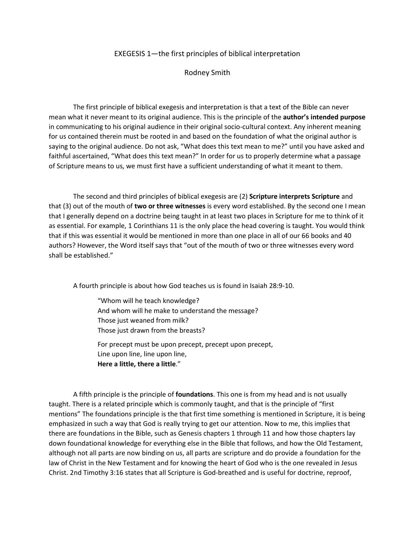## EXEGESIS 1—the first principles of biblical interpretation

Rodney Smith

The first principle of biblical exegesis and interpretation is that a text of the Bible can never mean what it never meant to its original audience. This is the principle of the **author's intended purpose** in communicating to his original audience in their original socio-cultural context. Any inherent meaning for us contained therein must be rooted in and based on the foundation of what the original author is saying to the original audience. Do not ask, "What does this text mean to me?" until you have asked and faithful ascertained, "What does this text mean?" In order for us to properly determine what a passage of Scripture means to us, we must first have a sufficient understanding of what it meant to them.

The second and third principles of biblical exegesis are (2) **Scripture interprets Scripture** and that (3) out of the mouth of **two or three witnesses** is every word established. By the second one I mean that I generally depend on a doctrine being taught in at least two places in Scripture for me to think of it as essential. For example, 1 Corinthians 11 is the only place the head covering is taught. You would think that if this was essential it would be mentioned in more than one place in all of our 66 books and 40 authors? However, the Word itself says that "out of the mouth of two or three witnesses every word shall be established."

A fourth principle is about how God teaches us is found in Isaiah 28:9-10.

"Whom will he teach knowledge? And whom will he make to understand the message? Those just weaned from milk? Those just drawn from the breasts?

For precept must be upon precept, precept upon precept, Line upon line, line upon line, **Here a little, there a little**."

A fifth principle is the principle of **foundations**. This one is from my head and is not usually taught. There is a related principle which is commonly taught, and that is the principle of "first mentions" The foundations principle is the that first time something is mentioned in Scripture, it is being emphasized in such a way that God is really trying to get our attention. Now to me, this implies that there are foundations in the Bible, such as Genesis chapters 1 through 11 and how those chapters lay down foundational knowledge for everything else in the Bible that follows, and how the Old Testament, although not all parts are now binding on us, all parts are scripture and do provide a foundation for the law of Christ in the New Testament and for knowing the heart of God who is the one revealed in Jesus Christ. 2nd Timothy 3:16 states that all Scripture is God-breathed and is useful for doctrine, reproof,